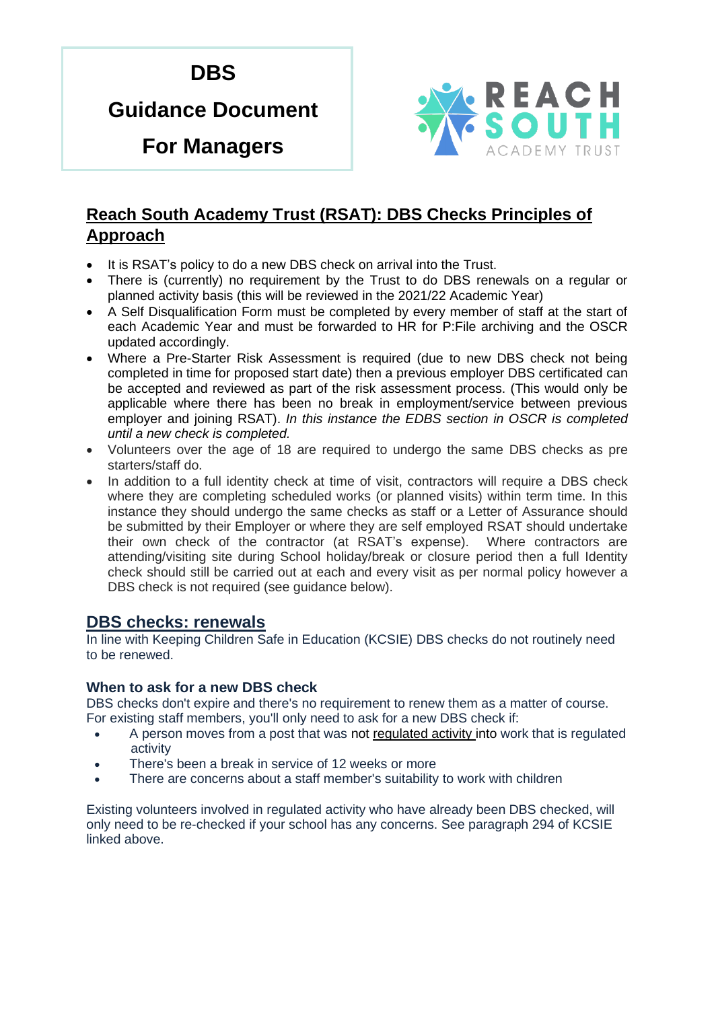# **DBS**

# **Guidance Document**

**For Managers**



# **Reach South Academy Trust (RSAT): DBS Checks Principles of Approach**

- It is RSAT's policy to do a new DBS check on arrival into the Trust.
- There is (currently) no requirement by the Trust to do DBS renewals on a regular or planned activity basis (this will be reviewed in the 2021/22 Academic Year)
- A Self Disqualification Form must be completed by every member of staff at the start of each Academic Year and must be forwarded to HR for P:File archiving and the OSCR updated accordingly.
- Where a Pre-Starter Risk Assessment is required (due to new DBS check not being completed in time for proposed start date) then a previous employer DBS certificated can be accepted and reviewed as part of the risk assessment process. (This would only be applicable where there has been no break in employment/service between previous employer and joining RSAT). *In this instance the EDBS section in OSCR is completed until a new check is completed.*
- Volunteers over the age of 18 are required to undergo the same DBS checks as pre starters/staff do.
- In addition to a full identity check at time of visit, contractors will require a DBS check where they are completing scheduled works (or planned visits) within term time. In this instance they should undergo the same checks as staff or a Letter of Assurance should be submitted by their Employer or where they are self employed RSAT should undertake their own check of the contractor (at RSAT's expense). Where contractors are attending/visiting site during School holiday/break or closure period then a full Identity check should still be carried out at each and every visit as per normal policy however a DBS check is not required (see guidance below).

## **DBS checks: renewals**

In line with Keeping Children Safe in Education (KCSIE) DBS checks do not routinely need to be renewed.

#### **When to ask for a new DBS check**

DBS checks don't expire and there's no requirement to renew them as a matter of course. For existing staff members, you'll only need to ask for a new DBS check if:

- A person moves from a post that was not regulated activity into work that is regulated activity
- There's been a break in service of 12 weeks or more
- There are concerns about a staff member's suitability to work with children

Existing volunteers involved in regulated activity who have already been DBS checked, will only need to be re-checked if your school has any concerns. See paragraph 294 of KCSIE linked above.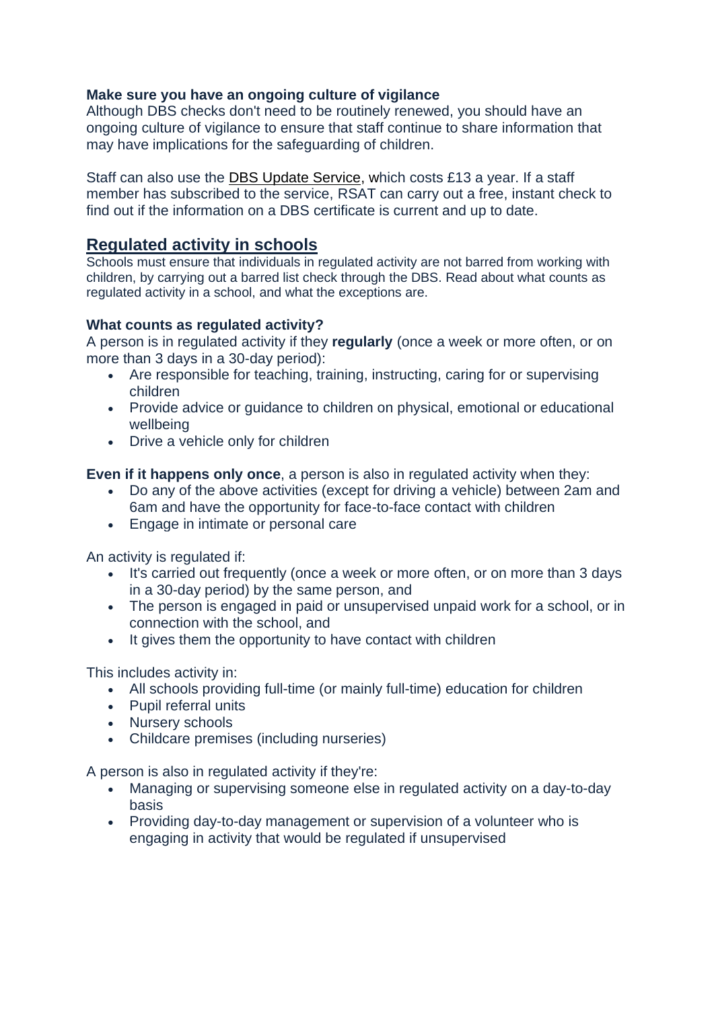#### **Make sure you have an ongoing culture of vigilance**

Although DBS checks don't need to be routinely renewed, you should have an ongoing culture of vigilance to ensure that staff continue to share information that may have implications for the safeguarding of children.

Staff can also use the DBS Update Service, which costs £13 a year. If a staff member has subscribed to the service, RSAT can carry out a free, instant check to find out if the information on a DBS certificate is current and up to date.

## **Regulated activity in schools**

Schools must ensure that individuals in regulated activity are not barred from working with children, by carrying out a barred list check through the DBS. Read about what counts as regulated activity in a school, and what the exceptions are.

#### **What counts as regulated activity?**

A person is in regulated activity if they **regularly** (once a week or more often, or on more than 3 days in a 30-day period):

- Are responsible for teaching, training, instructing, caring for or supervising children
- Provide advice or guidance to children on physical, emotional or educational wellbeing
- Drive a vehicle only for children

**Even if it happens only once**, a person is also in regulated activity when they:

- Do any of the above activities (except for driving a vehicle) between 2am and 6am and have the opportunity for face-to-face contact with children
- Engage in intimate or personal care

An activity is regulated if:

- It's carried out frequently (once a week or more often, or on more than 3 days in a 30-day period) by the same person, and
- The person is engaged in paid or unsupervised unpaid work for a school, or in connection with the school, and
- It gives them the opportunity to have contact with children

This includes activity in:

- All schools providing full-time (or mainly full-time) education for children
- Pupil referral units
- Nursery schools
- Childcare premises (including nurseries)

A person is also in regulated activity if they're:

- Managing or supervising someone else in regulated activity on a day-to-day basis
- Providing day-to-day management or supervision of a volunteer who is engaging in activity that would be regulated if unsupervised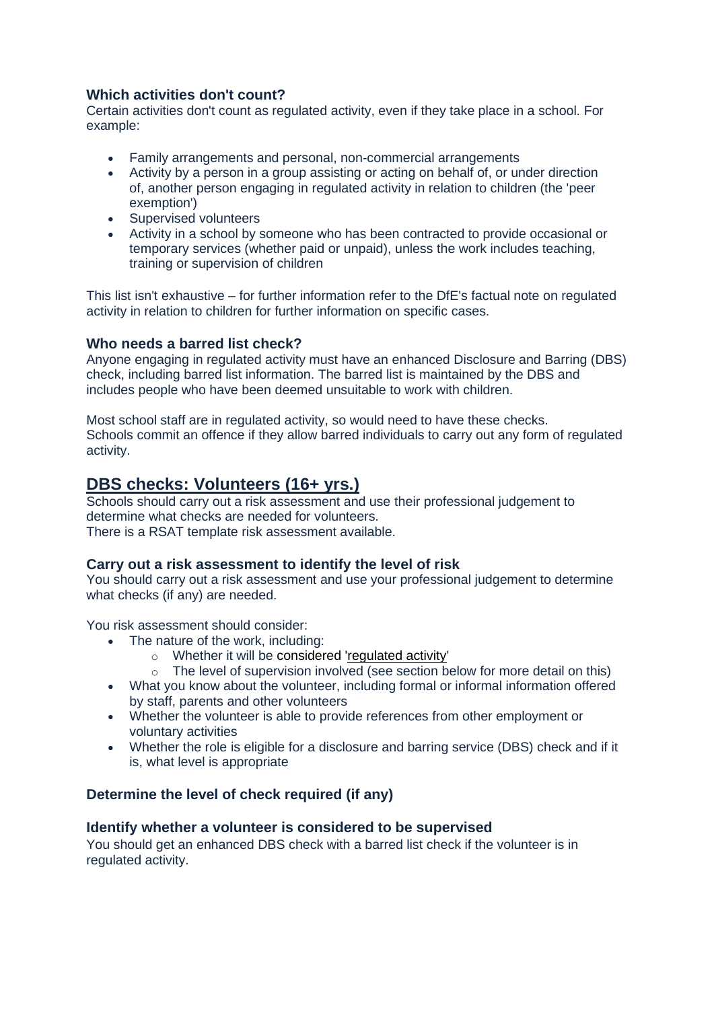### **Which activities don't count?**

Certain activities don't count as regulated activity, even if they take place in a school. For example:

- Family arrangements and personal, non-commercial arrangements
- Activity by a person in a group assisting or acting on behalf of, or under direction of, another person engaging in regulated activity in relation to children (the 'peer exemption')
- Supervised volunteers
- Activity in a school by someone who has been contracted to provide occasional or temporary services (whether paid or unpaid), unless the work includes teaching, training or supervision of children

This list isn't exhaustive – for further information refer to the DfE's factual note on regulated activity in relation to children for further information on specific cases.

#### **Who needs a barred list check?**

Anyone engaging in regulated activity must have an enhanced Disclosure and Barring (DBS) check, including barred list information. The barred list is maintained by the DBS and includes people who have been deemed unsuitable to work with children.

Most school staff are in regulated activity, so would need to have these checks. Schools commit an offence if they allow barred individuals to carry out any form of regulated activity.

# **DBS checks: Volunteers (16+ yrs.)**

Schools should carry out a risk assessment and use their professional judgement to determine what checks are needed for volunteers. There is a RSAT template risk assessment available.

#### **Carry out a risk assessment to identify the level of risk**

You should carry out a risk assessment and use your professional judgement to determine what checks (if any) are needed.

You risk assessment should consider:

- The nature of the work, including:
	- o Whether it will be considered ['regulated activity'](https://schoolleaders.thekeysupport.com/pupils-and-parents/safeguarding/safeguarding-checks-and-the-scr/regulated-activity/?marker=content-body)
	- $\circ$  The level of supervision involved (see section below for more detail on this)
- What you know about the volunteer, including formal or informal information offered by staff, parents and other volunteers
- Whether the volunteer is able to provide references from other employment or voluntary activities
- Whether the role is eligible for a disclosure and barring service (DBS) check and if it is, what level is appropriate

#### **Determine the level of check required (if any)**

#### **Identify whether a volunteer is considered to be supervised**

You should get an enhanced DBS check with a barred list check if the volunteer is in regulated activity.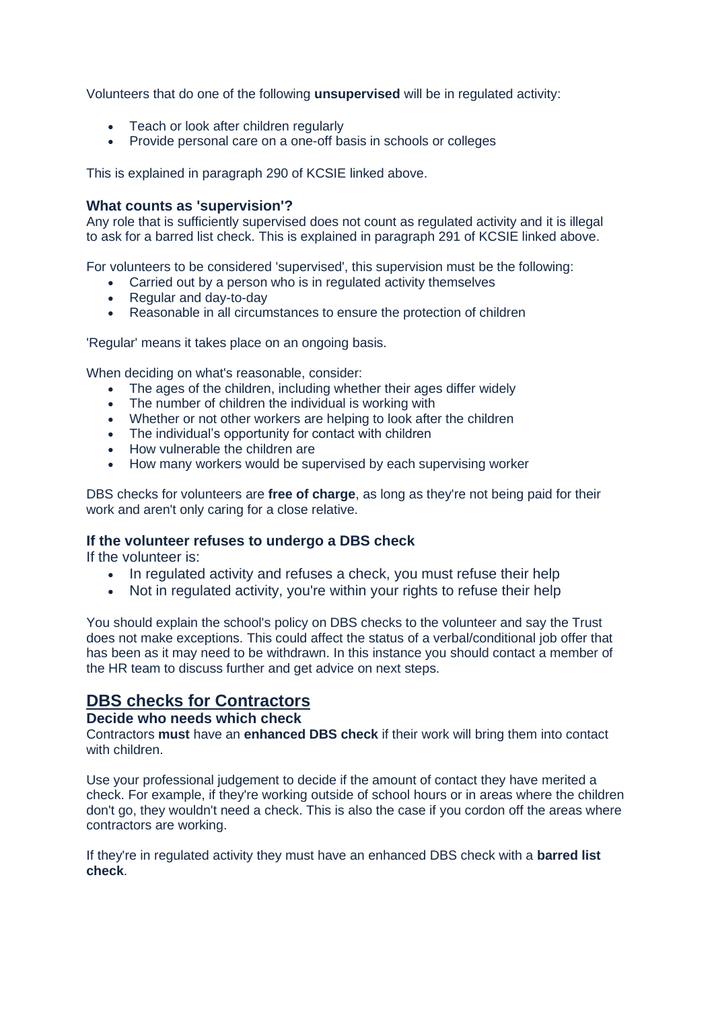Volunteers that do one of the following **unsupervised** will be in regulated activity:

- Teach or look after children regularly
- Provide personal care on a one-off basis in schools or colleges

This is explained in paragraph 290 of KCSIE linked above.

#### **What counts as 'supervision'?**

Any role that is sufficiently supervised does not count as regulated activity and it is illegal to ask for a barred list check. This is explained in paragraph 291 of KCSIE linked above.

For volunteers to be considered 'supervised', this supervision must be the following:

- Carried out by a person who is in regulated activity themselves
- Regular and day-to-day
- Reasonable in all circumstances to ensure the protection of children

'Regular' means it takes place on an ongoing basis.

When deciding on what's reasonable, consider:

- The ages of the children, including whether their ages differ widely
- The number of children the individual is working with
- Whether or not other workers are helping to look after the children
- The individual's opportunity for contact with children
- How vulnerable the children are
- How many workers would be supervised by each supervising worker

DBS checks for volunteers are **free of charge**, as long as they're not being paid for their work and aren't only caring for a close relative.

#### **If the volunteer refuses to undergo a DBS check**

If the volunteer is:

- In regulated activity and refuses a check, you must refuse their help
- Not in regulated activity, you're within your rights to refuse their help

You should explain the school's policy on DBS checks to the volunteer and say the Trust does not make exceptions. This could affect the status of a verbal/conditional job offer that has been as it may need to be withdrawn. In this instance you should contact a member of the HR team to discuss further and get advice on next steps.

## **DBS checks for Contractors**

#### **Decide who needs which check**

Contractors **must** have an **enhanced DBS check** if their work will bring them into contact with children

Use your professional judgement to decide if the amount of contact they have merited a check. For example, if they're working outside of school hours or in areas where the children don't go, they wouldn't need a check. This is also the case if you cordon off the areas where contractors are working.

If they're in regulated activity they must have an enhanced DBS check with a **barred list check**.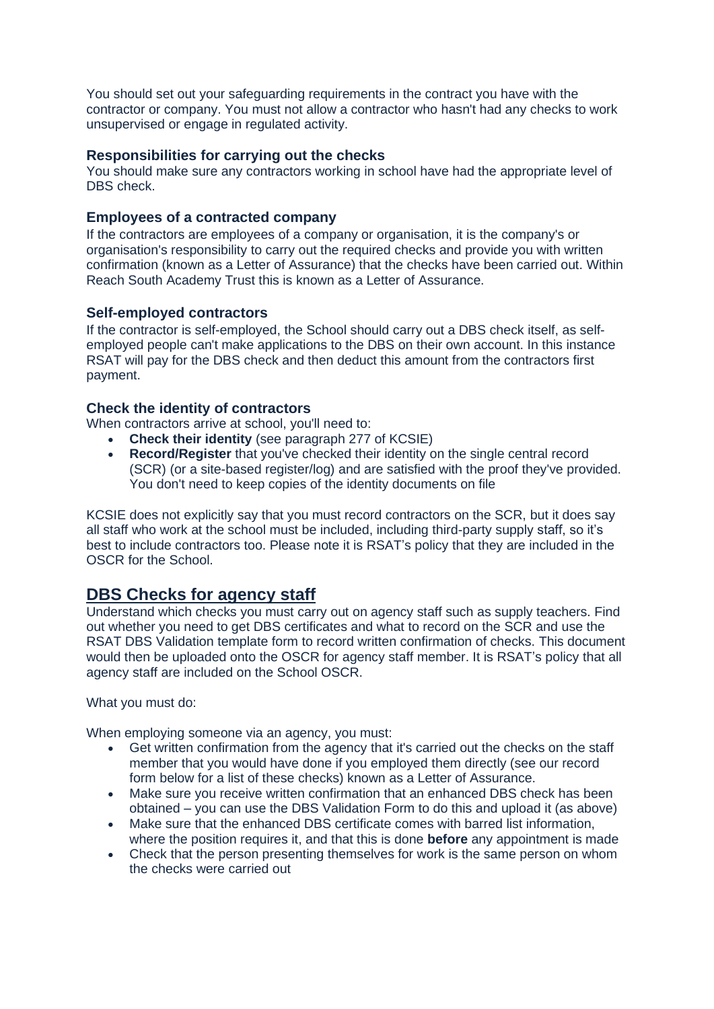You should set out your safeguarding requirements in the contract you have with the contractor or company. You must not allow a contractor who hasn't had any checks to work unsupervised or engage in regulated activity.

#### **Responsibilities for carrying out the checks**

You should make sure any contractors working in school have had the appropriate level of DBS check.

#### **Employees of a contracted company**

If the contractors are employees of a company or organisation, it is the company's or organisation's responsibility to carry out the required checks and provide you with written confirmation (known as a Letter of Assurance) that the checks have been carried out. Within Reach South Academy Trust this is known as a Letter of Assurance.

#### **Self-employed contractors**

If the contractor is self-employed, the School should carry out a DBS check itself, as selfemployed people can't make applications to the DBS on their own account. In this instance RSAT will pay for the DBS check and then deduct this amount from the contractors first payment.

#### **Check the identity of contractors**

When contractors arrive at school, you'll need to:

- **Check their identity** (see paragraph 277 of KCSIE)
- **Record/Register** that you've checked their identity on the single central record (SCR) (or a site-based register/log) and are satisfied with the proof they've provided. You don't need to keep copies of the identity documents on file

KCSIE does not explicitly say that you must record contractors on the SCR, but it does say all staff who work at the school must be included, including third-party supply staff, so it's best to include contractors too. Please note it is RSAT's policy that they are included in the OSCR for the School.

# **DBS Checks for agency staff**

Understand which checks you must carry out on agency staff such as supply teachers. Find out whether you need to get DBS certificates and what to record on the SCR and use the RSAT DBS Validation template form to record written confirmation of checks. This document would then be uploaded onto the OSCR for agency staff member. It is RSAT's policy that all agency staff are included on the School OSCR.

What you must do:

When employing someone via an agency, you must:

- Get written confirmation from the agency that it's carried out the checks on the staff member that you would have done if you employed them directly (see our record form below for a list of these checks) known as a Letter of Assurance.
- Make sure you receive written confirmation that an enhanced DBS check has been obtained – you can use the DBS Validation Form to do this and upload it (as above)
- Make sure that the enhanced DBS certificate comes with barred list information, where the position requires it, and that this is done **before** any appointment is made
- Check that the person presenting themselves for work is the same person on whom the checks were carried out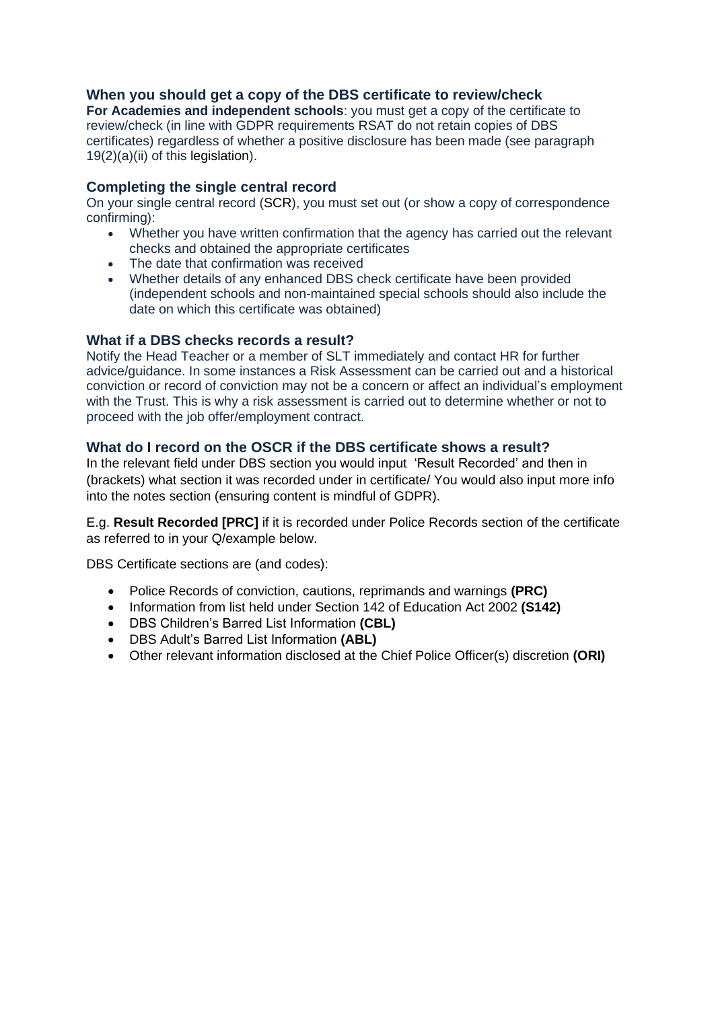#### **When you should get a copy of the DBS certificate to review/check**

**For Academies and independent schools**: you must get a copy of the certificate to review/check (in line with GDPR requirements RSAT do not retain copies of DBS certificates) regardless of whether a positive disclosure has been made (see paragraph 19(2)(a)(ii) of this legislation).

#### **Completing the single central record**

On your single central record (SCR), you must set out (or show a copy of correspondence confirming):

- Whether you have written confirmation that the agency has carried out the relevant checks and obtained the appropriate certificates
- The date that confirmation was received
- Whether details of any enhanced DBS check certificate have been provided (independent schools and non-maintained special schools should also include the date on which this certificate was obtained)

#### **What if a DBS checks records a result?**

Notify the Head Teacher or a member of SLT immediately and contact HR for further advice/guidance. In some instances a Risk Assessment can be carried out and a historical conviction or record of conviction may not be a concern or affect an individual's employment with the Trust. This is why a risk assessment is carried out to determine whether or not to proceed with the job offer/employment contract.

#### **What do I record on the OSCR if the DBS certificate shows a result?**

In the relevant field under DBS section you would input 'Result Recorded' and then in (brackets) what section it was recorded under in certificate/ You would also input more info into the notes section (ensuring content is mindful of GDPR).

E.g. **Result Recorded [PRC]** if it is recorded under Police Records section of the certificate as referred to in your Q/example below.

DBS Certificate sections are (and codes):

- Police Records of conviction, cautions, reprimands and warnings **(PRC)**
- Information from list held under Section 142 of Education Act 2002 **(S142)**
- DBS Children's Barred List Information **(CBL)**
- DBS Adult's Barred List Information **(ABL)**
- Other relevant information disclosed at the Chief Police Officer(s) discretion **(ORI)**